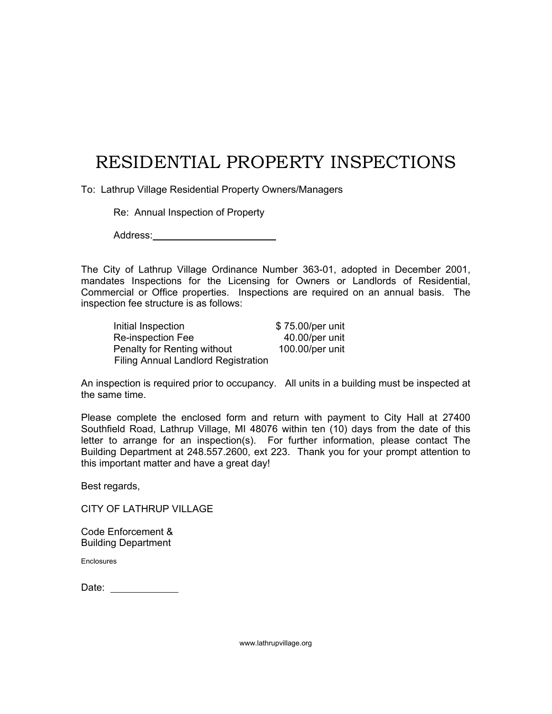# RESIDENTIAL PROPERTY INSPECTIONS

To: Lathrup Village Residential Property Owners/Managers

Re: Annual Inspection of Property

Address: **Address: Address: Address: Address: Address: Address: Address: Address: Address: Address: Address: Address: Address: Address: Address: Address: Address: Address: Address: Add** 

The City of Lathrup Village Ordinance Number 363-01, adopted in December 2001, mandates Inspections for the Licensing for Owners or Landlords of Residential, Commercial or Office properties. Inspections are required on an annual basis. The inspection fee structure is as follows:

| Initial Inspection                  | \$75.00/per unit |
|-------------------------------------|------------------|
| Re-inspection Fee                   | 40.00/per unit   |
| Penalty for Renting without         | 100.00/per unit  |
| Filing Annual Landlord Registration |                  |

An inspection is required prior to occupancy. All units in a building must be inspected at the same time.

Please complete the enclosed form and return with payment to City Hall at 27400 Southfield Road, Lathrup Village, MI 48076 within ten (10) days from the date of this letter to arrange for an inspection(s). For further information, please contact The Building Department at 248.557.2600, ext 223. Thank you for your prompt attention to this important matter and have a great day!

Best regards,

CITY OF LATHRUP VILLAGE

Code Enforcement & Building Department

Enclosures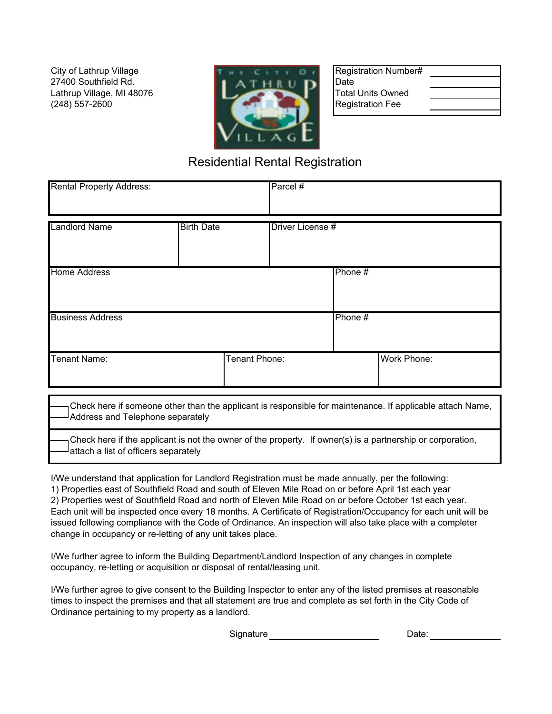Lathrup Village, MI 48076 (248) 557-2600 City of Lathrup Village 27400 Southfield Rd.



Registration Number# Date Total Units Owned Registration Fee

| the contract of the contract of the contract of the contract of the contract of |  |  |
|---------------------------------------------------------------------------------|--|--|
|                                                                                 |  |  |
|                                                                                 |  |  |
|                                                                                 |  |  |

# Residential Rental Registration

| <b>Rental Property Address:</b> |                   | Parcel#          |         |             |
|---------------------------------|-------------------|------------------|---------|-------------|
| <b>Landlord Name</b>            | <b>Birth Date</b> | Driver License # |         |             |
| <b>Home Address</b>             |                   |                  | Phone#  |             |
| <b>Business Address</b>         |                   |                  | Phone # |             |
| <b>Tenant Name:</b>             | Tenant Phone:     |                  |         | Work Phone: |

Check here if someone other than the applicant is responsible for maintenance. If applicable attach Name, Address and Telephone separately

Check here if the applicant is not the owner of the property. If owner(s) is a partnership or corporation, attach a list of officers separately

I/We understand that application for Landlord Registration must be made annually, per the following: 1) Properties east of Southfield Road and south of Eleven Mile Road on or before April 1st each year 2) Properties west of Southfield Road and north of Eleven Mile Road on or before October 1st each year. Each unit will be inspected once every 18 months. A Certificate of Registration/Occupancy for each unit will be issued following compliance with the Code of Ordinance. An inspection will also take place with a completer change in occupancy or re-letting of any unit takes place.

I/We further agree to inform the Building Department/Landlord Inspection of any changes in complete occupancy, re-letting or acquisition or disposal of rental/leasing unit.

I/We further agree to give consent to the Building Inspector to enter any of the listed premises at reasonable times to inspect the premises and that all statement are true and complete as set forth in the City Code of Ordinance pertaining to my property as a landlord.

> Date: Signature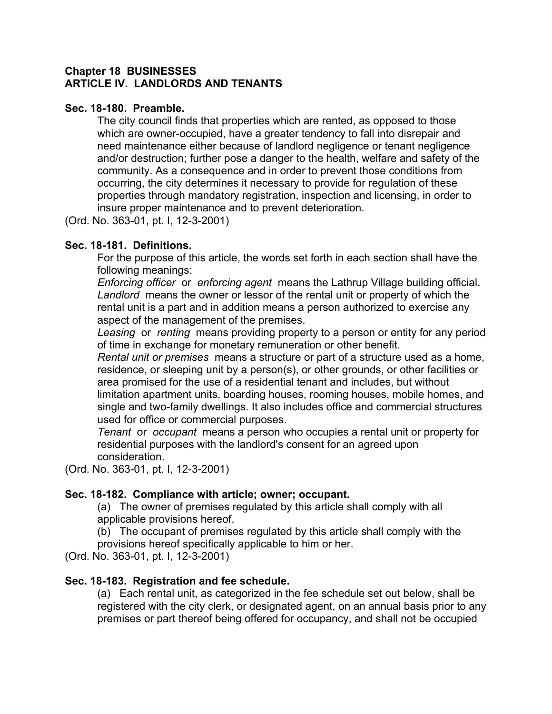## **Chapter 18 BUSINESSES ARTICLE IV. LANDLORDS AND TENANTS**

## **Sec. 18-180. Preamble.**

The city council finds that properties which are rented, as opposed to those which are owner-occupied, have a greater tendency to fall into disrepair and need maintenance either because of landlord negligence or tenant negligence and/or destruction; further pose a danger to the health, welfare and safety of the community. As a consequence and in order to prevent those conditions from occurring, the city determines it necessary to provide for regulation of these properties through mandatory registration, inspection and licensing, in order to insure proper maintenance and to prevent deterioration.

(Ord. No. 363-01, pt. I, 12-3-2001)

# **Sec. 18-181. Definitions.**

For the purpose of this article, the words set forth in each section shall have the following meanings:

*Enforcing officer* or *enforcing agent* means the Lathrup Village building official. *Landlord* means the owner or lessor of the rental unit or property of which the rental unit is a part and in addition means a person authorized to exercise any aspect of the management of the premises.

*Leasing* or *renting* means providing property to a person or entity for any period of time in exchange for monetary remuneration or other benefit.

*Rental unit or premises* means a structure or part of a structure used as a home, residence, or sleeping unit by a person(s), or other grounds, or other facilities or area promised for the use of a residential tenant and includes, but without limitation apartment units, boarding houses, rooming houses, mobile homes, and single and two-family dwellings. It also includes office and commercial structures used for office or commercial purposes.

*Tenant* or *occupant* means a person who occupies a rental unit or property for residential purposes with the landlord's consent for an agreed upon consideration.

(Ord. No. 363-01, pt. I, 12-3-2001)

# **Sec. 18-182. Compliance with article; owner; occupant.**

(a) The owner of premises regulated by this article shall comply with all applicable provisions hereof.

(b) The occupant of premises regulated by this article shall comply with the provisions hereof specifically applicable to him or her.

(Ord. No. 363-01, pt. I, 12-3-2001)

# **Sec. 18-183. Registration and fee schedule.**

(a) Each rental unit, as categorized in the fee schedule set out below, shall be registered with the city clerk, or designated agent, on an annual basis prior to any premises or part thereof being offered for occupancy, and shall not be occupied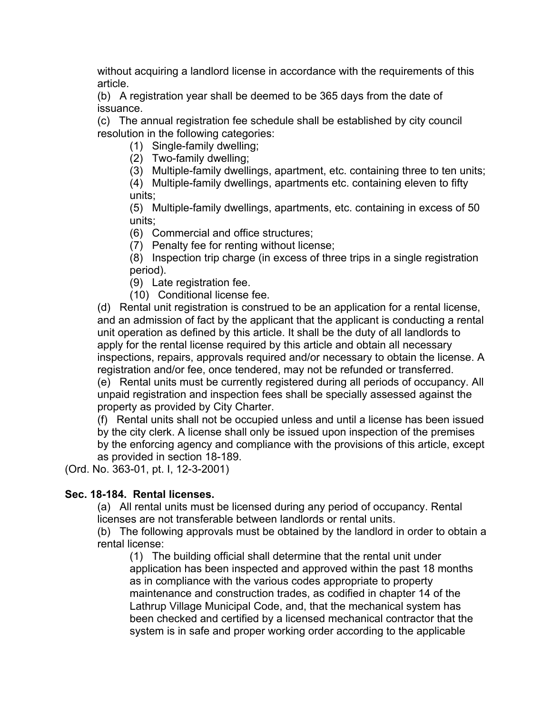without acquiring a landlord license in accordance with the requirements of this article.

(b) A registration year shall be deemed to be 365 days from the date of issuance.

(c) The annual registration fee schedule shall be established by city council resolution in the following categories:

(1) Single-family dwelling;

(2) Two-family dwelling;

(3) Multiple-family dwellings, apartment, etc. containing three to ten units;

(4) Multiple-family dwellings, apartments etc. containing eleven to fifty units;

(5) Multiple-family dwellings, apartments, etc. containing in excess of 50 units;

(6) Commercial and office structures;

(7) Penalty fee for renting without license;

(8) Inspection trip charge (in excess of three trips in a single registration period).

(9) Late registration fee.

(10) Conditional license fee.

(d) Rental unit registration is construed to be an application for a rental license, and an admission of fact by the applicant that the applicant is conducting a rental unit operation as defined by this article. It shall be the duty of all landlords to apply for the rental license required by this article and obtain all necessary inspections, repairs, approvals required and/or necessary to obtain the license. A registration and/or fee, once tendered, may not be refunded or transferred. (e) Rental units must be currently registered during all periods of occupancy. All unpaid registration and inspection fees shall be specially assessed against the

property as provided by City Charter.

(f) Rental units shall not be occupied unless and until a license has been issued by the city clerk. A license shall only be issued upon inspection of the premises

by the enforcing agency and compliance with the provisions of this article, except as provided in section 18-189.

(Ord. No. 363-01, pt. I, 12-3-2001)

# **Sec. 18-184. Rental licenses.**

(a) All rental units must be licensed during any period of occupancy. Rental licenses are not transferable between landlords or rental units.

(b) The following approvals must be obtained by the landlord in order to obtain a rental license:

(1) The building official shall determine that the rental unit under application has been inspected and approved within the past 18 months as in compliance with the various codes appropriate to property maintenance and construction trades, as codified in chapter 14 of the Lathrup Village Municipal Code, and, that the mechanical system has been checked and certified by a licensed mechanical contractor that the system is in safe and proper working order according to the applicable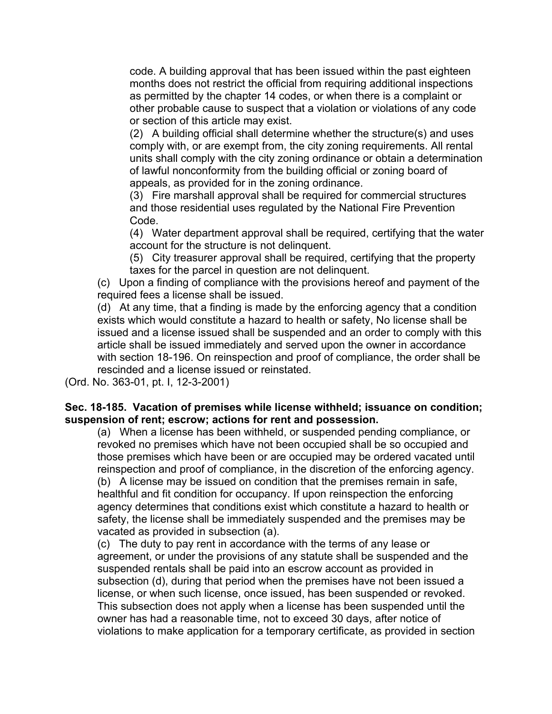code. A building approval that has been issued within the past eighteen months does not restrict the official from requiring additional inspections as permitted by the chapter 14 codes, or when there is a complaint or other probable cause to suspect that a violation or violations of any code or section of this article may exist.

(2) A building official shall determine whether the structure(s) and uses comply with, or are exempt from, the city zoning requirements. All rental units shall comply with the city zoning ordinance or obtain a determination of lawful nonconformity from the building official or zoning board of appeals, as provided for in the zoning ordinance.

(3) Fire marshall approval shall be required for commercial structures and those residential uses regulated by the National Fire Prevention Code.

(4) Water department approval shall be required, certifying that the water account for the structure is not delinquent.

(5) City treasurer approval shall be required, certifying that the property taxes for the parcel in question are not delinquent.

(c) Upon a finding of compliance with the provisions hereof and payment of the required fees a license shall be issued.

(d) At any time, that a finding is made by the enforcing agency that a condition exists which would constitute a hazard to health or safety, No license shall be issued and a license issued shall be suspended and an order to comply with this article shall be issued immediately and served upon the owner in accordance with section 18-196. On reinspection and proof of compliance, the order shall be rescinded and a license issued or reinstated.

(Ord. No. 363-01, pt. I, 12-3-2001)

# **Sec. 18-185. Vacation of premises while license withheld; issuance on condition; suspension of rent; escrow; actions for rent and possession.**

(a) When a license has been withheld, or suspended pending compliance, or revoked no premises which have not been occupied shall be so occupied and those premises which have been or are occupied may be ordered vacated until reinspection and proof of compliance, in the discretion of the enforcing agency. (b) A license may be issued on condition that the premises remain in safe, healthful and fit condition for occupancy. If upon reinspection the enforcing agency determines that conditions exist which constitute a hazard to health or safety, the license shall be immediately suspended and the premises may be vacated as provided in subsection (a).

(c) The duty to pay rent in accordance with the terms of any lease or agreement, or under the provisions of any statute shall be suspended and the suspended rentals shall be paid into an escrow account as provided in subsection (d), during that period when the premises have not been issued a license, or when such license, once issued, has been suspended or revoked. This subsection does not apply when a license has been suspended until the owner has had a reasonable time, not to exceed 30 days, after notice of violations to make application for a temporary certificate, as provided in section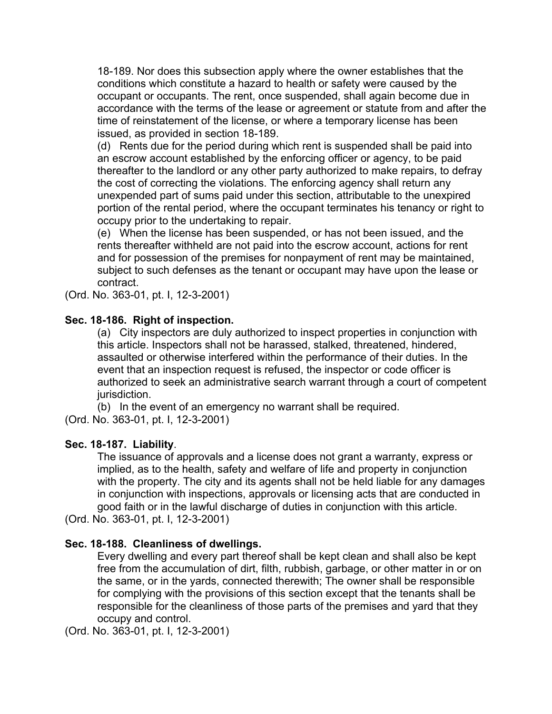18-189. Nor does this subsection apply where the owner establishes that the conditions which constitute a hazard to health or safety were caused by the occupant or occupants. The rent, once suspended, shall again become due in accordance with the terms of the lease or agreement or statute from and after the time of reinstatement of the license, or where a temporary license has been issued, as provided in section 18-189.

(d) Rents due for the period during which rent is suspended shall be paid into an escrow account established by the enforcing officer or agency, to be paid thereafter to the landlord or any other party authorized to make repairs, to defray the cost of correcting the violations. The enforcing agency shall return any unexpended part of sums paid under this section, attributable to the unexpired portion of the rental period, where the occupant terminates his tenancy or right to occupy prior to the undertaking to repair.

(e) When the license has been suspended, or has not been issued, and the rents thereafter withheld are not paid into the escrow account, actions for rent and for possession of the premises for nonpayment of rent may be maintained, subject to such defenses as the tenant or occupant may have upon the lease or contract.

(Ord. No. 363-01, pt. I, 12-3-2001)

# **Sec. 18-186. Right of inspection.**

(a) City inspectors are duly authorized to inspect properties in conjunction with this article. Inspectors shall not be harassed, stalked, threatened, hindered, assaulted or otherwise interfered within the performance of their duties. In the event that an inspection request is refused, the inspector or code officer is authorized to seek an administrative search warrant through a court of competent jurisdiction.

(b) In the event of an emergency no warrant shall be required.

(Ord. No. 363-01, pt. I, 12-3-2001)

# **Sec. 18-187. Liability**.

The issuance of approvals and a license does not grant a warranty, express or implied, as to the health, safety and welfare of life and property in conjunction with the property. The city and its agents shall not be held liable for any damages in conjunction with inspections, approvals or licensing acts that are conducted in good faith or in the lawful discharge of duties in conjunction with this article.

(Ord. No. 363-01, pt. I, 12-3-2001)

# **Sec. 18-188. Cleanliness of dwellings.**

Every dwelling and every part thereof shall be kept clean and shall also be kept free from the accumulation of dirt, filth, rubbish, garbage, or other matter in or on the same, or in the yards, connected therewith; The owner shall be responsible for complying with the provisions of this section except that the tenants shall be responsible for the cleanliness of those parts of the premises and yard that they occupy and control.

(Ord. No. 363-01, pt. I, 12-3-2001)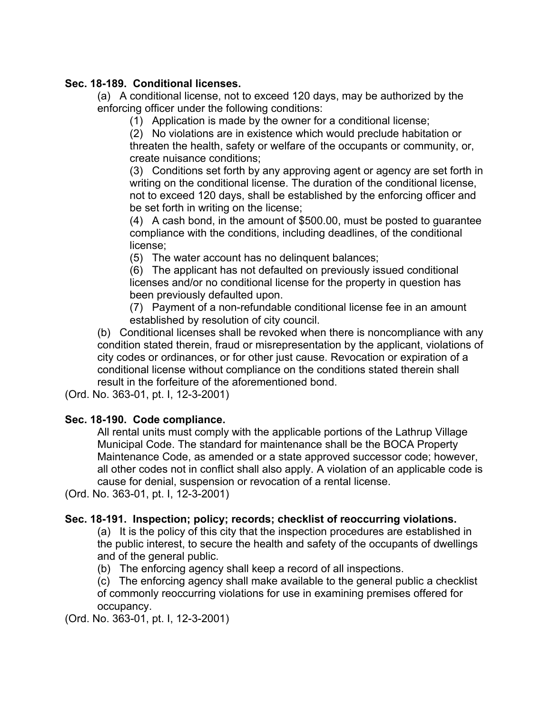# **Sec. 18-189. Conditional licenses.**

(a) A conditional license, not to exceed 120 days, may be authorized by the enforcing officer under the following conditions:

(1) Application is made by the owner for a conditional license;

(2) No violations are in existence which would preclude habitation or threaten the health, safety or welfare of the occupants or community, or, create nuisance conditions;

(3) Conditions set forth by any approving agent or agency are set forth in writing on the conditional license. The duration of the conditional license, not to exceed 120 days, shall be established by the enforcing officer and be set forth in writing on the license;

(4) A cash bond, in the amount of \$500.00, must be posted to guarantee compliance with the conditions, including deadlines, of the conditional license;

(5) The water account has no delinquent balances;

(6) The applicant has not defaulted on previously issued conditional licenses and/or no conditional license for the property in question has been previously defaulted upon.

(7) Payment of a non-refundable conditional license fee in an amount established by resolution of city council.

(b) Conditional licenses shall be revoked when there is noncompliance with any condition stated therein, fraud or misrepresentation by the applicant, violations of city codes or ordinances, or for other just cause. Revocation or expiration of a conditional license without compliance on the conditions stated therein shall result in the forfeiture of the aforementioned bond.

(Ord. No. 363-01, pt. I, 12-3-2001)

# **Sec. 18-190. Code compliance.**

All rental units must comply with the applicable portions of the Lathrup Village Municipal Code. The standard for maintenance shall be the BOCA Property Maintenance Code, as amended or a state approved successor code; however, all other codes not in conflict shall also apply. A violation of an applicable code is cause for denial, suspension or revocation of a rental license.

(Ord. No. 363-01, pt. I, 12-3-2001)

# **Sec. 18-191. Inspection; policy; records; checklist of reoccurring violations.**

(a) It is the policy of this city that the inspection procedures are established in the public interest, to secure the health and safety of the occupants of dwellings and of the general public.

(b) The enforcing agency shall keep a record of all inspections.

(c) The enforcing agency shall make available to the general public a checklist of commonly reoccurring violations for use in examining premises offered for occupancy.

(Ord. No. 363-01, pt. I, 12-3-2001)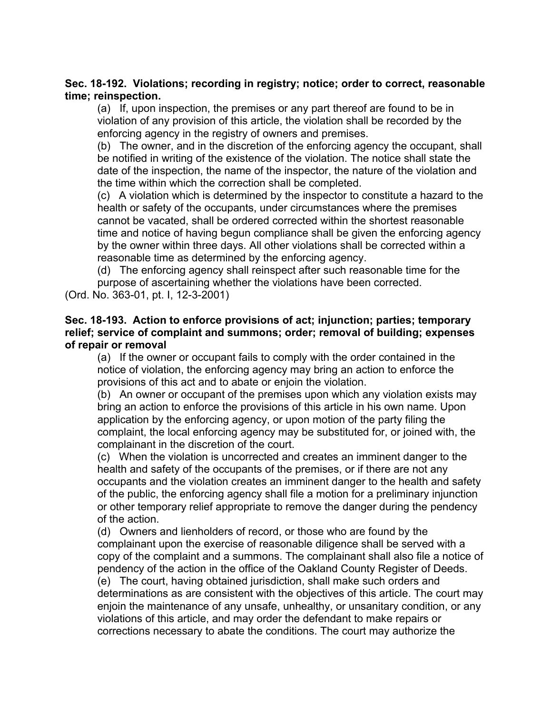# **Sec. 18-192. Violations; recording in registry; notice; order to correct, reasonable time; reinspection.**

(a) If, upon inspection, the premises or any part thereof are found to be in violation of any provision of this article, the violation shall be recorded by the enforcing agency in the registry of owners and premises.

(b) The owner, and in the discretion of the enforcing agency the occupant, shall be notified in writing of the existence of the violation. The notice shall state the date of the inspection, the name of the inspector, the nature of the violation and the time within which the correction shall be completed.

(c) A violation which is determined by the inspector to constitute a hazard to the health or safety of the occupants, under circumstances where the premises cannot be vacated, shall be ordered corrected within the shortest reasonable time and notice of having begun compliance shall be given the enforcing agency by the owner within three days. All other violations shall be corrected within a reasonable time as determined by the enforcing agency.

(d) The enforcing agency shall reinspect after such reasonable time for the purpose of ascertaining whether the violations have been corrected.

(Ord. No. 363-01, pt. I, 12-3-2001)

# **Sec. 18-193. Action to enforce provisions of act; injunction; parties; temporary relief; service of complaint and summons; order; removal of building; expenses of repair or removal**

(a) If the owner or occupant fails to comply with the order contained in the notice of violation, the enforcing agency may bring an action to enforce the provisions of this act and to abate or enjoin the violation.

(b) An owner or occupant of the premises upon which any violation exists may bring an action to enforce the provisions of this article in his own name. Upon application by the enforcing agency, or upon motion of the party filing the complaint, the local enforcing agency may be substituted for, or joined with, the complainant in the discretion of the court.

(c) When the violation is uncorrected and creates an imminent danger to the health and safety of the occupants of the premises, or if there are not any occupants and the violation creates an imminent danger to the health and safety of the public, the enforcing agency shall file a motion for a preliminary injunction or other temporary relief appropriate to remove the danger during the pendency of the action.

(d) Owners and lienholders of record, or those who are found by the complainant upon the exercise of reasonable diligence shall be served with a copy of the complaint and a summons. The complainant shall also file a notice of pendency of the action in the office of the Oakland County Register of Deeds. (e) The court, having obtained jurisdiction, shall make such orders and determinations as are consistent with the objectives of this article. The court may enjoin the maintenance of any unsafe, unhealthy, or unsanitary condition, or any violations of this article, and may order the defendant to make repairs or corrections necessary to abate the conditions. The court may authorize the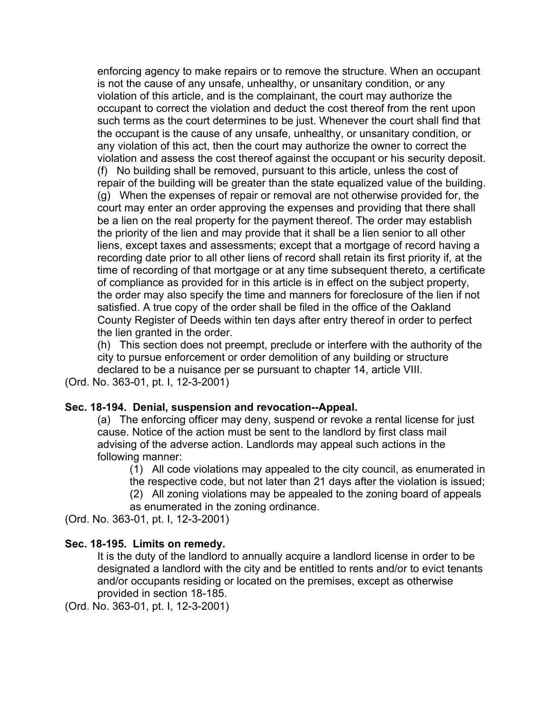enforcing agency to make repairs or to remove the structure. When an occupant is not the cause of any unsafe, unhealthy, or unsanitary condition, or any violation of this article, and is the complainant, the court may authorize the occupant to correct the violation and deduct the cost thereof from the rent upon such terms as the court determines to be just. Whenever the court shall find that the occupant is the cause of any unsafe, unhealthy, or unsanitary condition, or any violation of this act, then the court may authorize the owner to correct the violation and assess the cost thereof against the occupant or his security deposit. (f) No building shall be removed, pursuant to this article, unless the cost of repair of the building will be greater than the state equalized value of the building. (g) When the expenses of repair or removal are not otherwise provided for, the court may enter an order approving the expenses and providing that there shall be a lien on the real property for the payment thereof. The order may establish the priority of the lien and may provide that it shall be a lien senior to all other liens, except taxes and assessments; except that a mortgage of record having a recording date prior to all other liens of record shall retain its first priority if, at the time of recording of that mortgage or at any time subsequent thereto, a certificate of compliance as provided for in this article is in effect on the subject property, the order may also specify the time and manners for foreclosure of the lien if not satisfied. A true copy of the order shall be filed in the office of the Oakland County Register of Deeds within ten days after entry thereof in order to perfect the lien granted in the order.

(h) This section does not preempt, preclude or interfere with the authority of the city to pursue enforcement or order demolition of any building or structure declared to be a nuisance per se pursuant to chapter 14, article VIII.

(Ord. No. 363-01, pt. I, 12-3-2001)

#### **Sec. 18-194. Denial, suspension and revocation--Appeal.**

(a) The enforcing officer may deny, suspend or revoke a rental license for just cause. Notice of the action must be sent to the landlord by first class mail advising of the adverse action. Landlords may appeal such actions in the following manner:

(1) All code violations may appealed to the city council, as enumerated in the respective code, but not later than 21 days after the violation is issued;

(2) All zoning violations may be appealed to the zoning board of appeals

as enumerated in the zoning ordinance.

(Ord. No. 363-01, pt. I, 12-3-2001)

#### **Sec. 18-195. Limits on remedy.**

It is the duty of the landlord to annually acquire a landlord license in order to be designated a landlord with the city and be entitled to rents and/or to evict tenants and/or occupants residing or located on the premises, except as otherwise provided in section 18-185.

(Ord. No. 363-01, pt. I, 12-3-2001)